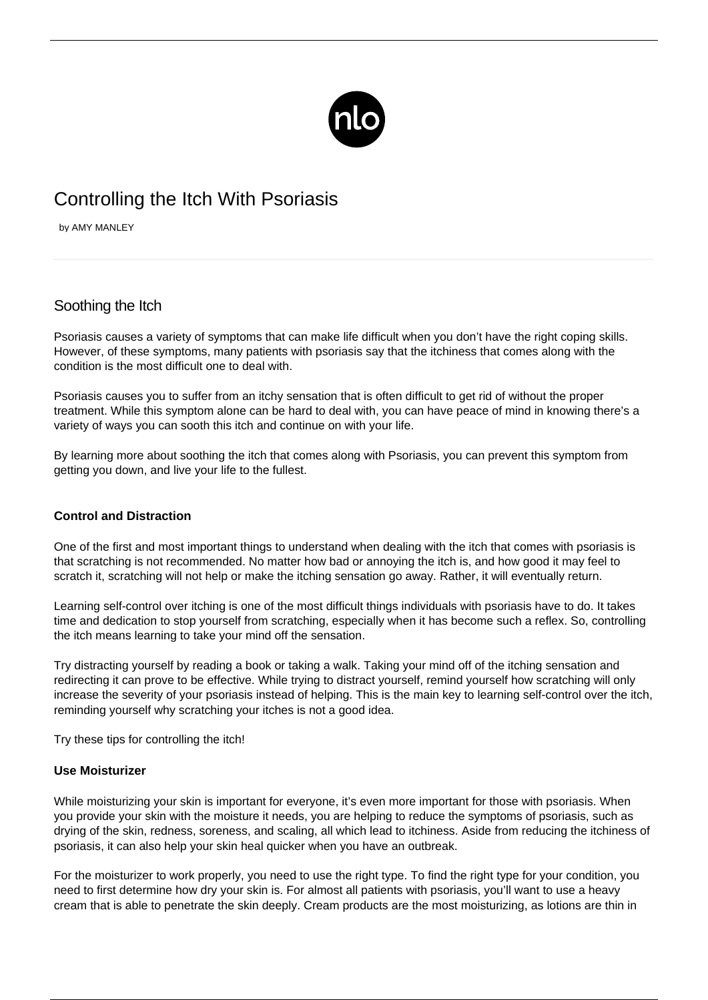

# Controlling the Itch With Psoriasis

by AMY MANLEY

# Soothing the Itch

Psoriasis causes a variety of symptoms that can make life difficult when you don't have the right coping skills. However, of these symptoms, many patients with psoriasis say that the itchiness that comes along with the condition is the most difficult one to deal with.

Psoriasis causes you to suffer from an itchy sensation that is often difficult to get rid of without the proper treatment. While this symptom alone can be hard to deal with, you can have peace of mind in knowing there's a variety of ways you can sooth this itch and continue on with your life.

By learning more about soothing the itch that comes along with Psoriasis, you can prevent this symptom from getting you down, and live your life to the fullest.

### **Control and Distraction**

One of the first and most important things to understand when dealing with the itch that comes with psoriasis is that scratching is not recommended. No matter how bad or annoying the itch is, and how good it may feel to scratch it, scratching will not help or make the itching sensation go away. Rather, it will eventually return.

Learning self-control over itching is one of the most difficult things individuals with psoriasis have to do. It takes time and dedication to stop yourself from scratching, especially when it has become such a reflex. So, controlling the itch means learning to take your mind off the sensation.

Try distracting yourself by reading a book or taking a walk. Taking your mind off of the itching sensation and redirecting it can prove to be effective. While trying to distract yourself, remind yourself how scratching will only increase the severity of your psoriasis instead of helping. This is the main key to learning self-control over the itch, reminding yourself why scratching your itches is not a good idea.

Try these tips for controlling the itch!

#### **Use Moisturizer**

While moisturizing your skin is important for everyone, it's even more important for those with psoriasis. When you provide your skin with the moisture it needs, you are helping to reduce the symptoms of psoriasis, such as drying of the skin, redness, soreness, and scaling, all which lead to itchiness. Aside from reducing the itchiness of psoriasis, it can also help your skin heal quicker when you have an outbreak.

For the moisturizer to work properly, you need to use the right type. To find the right type for your condition, you need to first determine how dry your skin is. For almost all patients with psoriasis, you'll want to use a heavy cream that is able to penetrate the skin deeply. Cream products are the most moisturizing, as lotions are thin in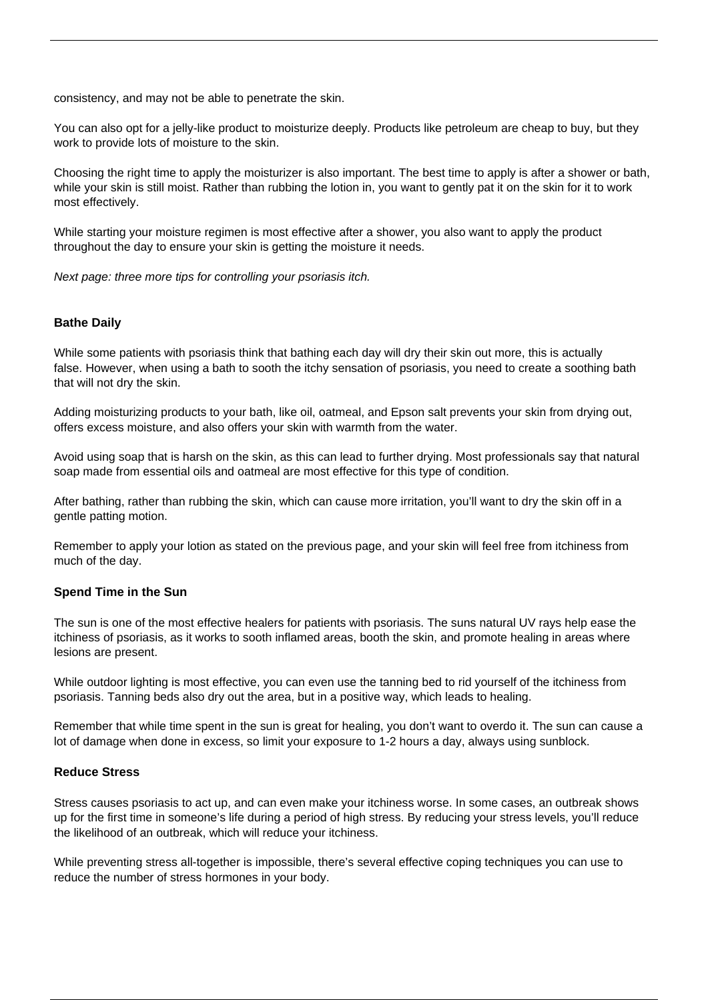consistency, and may not be able to penetrate the skin.

You can also opt for a jelly-like product to moisturize deeply. Products like petroleum are cheap to buy, but they work to provide lots of moisture to the skin.

Choosing the right time to apply the moisturizer is also important. The best time to apply is after a shower or bath, while your skin is still moist. Rather than rubbing the lotion in, you want to gently pat it on the skin for it to work most effectively.

While starting your moisture regimen is most effective after a shower, you also want to apply the product throughout the day to ensure your skin is getting the moisture it needs.

Next page: three more tips for controlling your psoriasis itch.

#### **Bathe Daily**

While some patients with psoriasis think that bathing each day will dry their skin out more, this is actually false. However, when using a bath to sooth the itchy sensation of psoriasis, you need to create a soothing bath that will not dry the skin.

Adding moisturizing products to your bath, like oil, oatmeal, and Epson salt prevents your skin from drying out, offers excess moisture, and also offers your skin with warmth from the water.

Avoid [using soap](/can-soap-use-help/) that is harsh on the skin, as this can lead to further drying. Most professionals say that natural soap made from essential oils and oatmeal are most effective for this type of condition.

After bathing, rather than rubbing the skin, which can cause more irritation, you'll want to dry the skin off in a gentle patting motion.

Remember to apply your lotion as stated on the previous page, and your skin will feel free from itchiness from much of the day.

#### **Spend Time in the Sun**

The sun is one of the most effective healers for patients with psoriasis. The suns natural UV rays help ease the itchiness of psoriasis, as it works to sooth inflamed areas, booth the skin, and promote healing in areas where lesions are present.

While outdoor lighting is most effective, you can even use the tanning bed to rid yourself of the itchiness from psoriasis. Tanning beds also dry out the area, but in a positive way, which leads to healing.

Remember that while time spent in the sun is great for healing, you don't want to overdo it. The sun can cause a lot of damage when done in excess, so limit your exposure to 1-2 hours a day, always using sunblock.

#### **Reduce Stress**

Stress causes psoriasis to act up, and can even make your itchiness worse. In some cases, an outbreak shows up for the first time in someone's life during a period of high stress. By reducing your stress levels, you'll reduce the likelihood of an outbreak, which will reduce your itchiness.

While preventing stress all-together is impossible, there's several effective coping techniques you can use to reduce the number of stress hormones in your body.